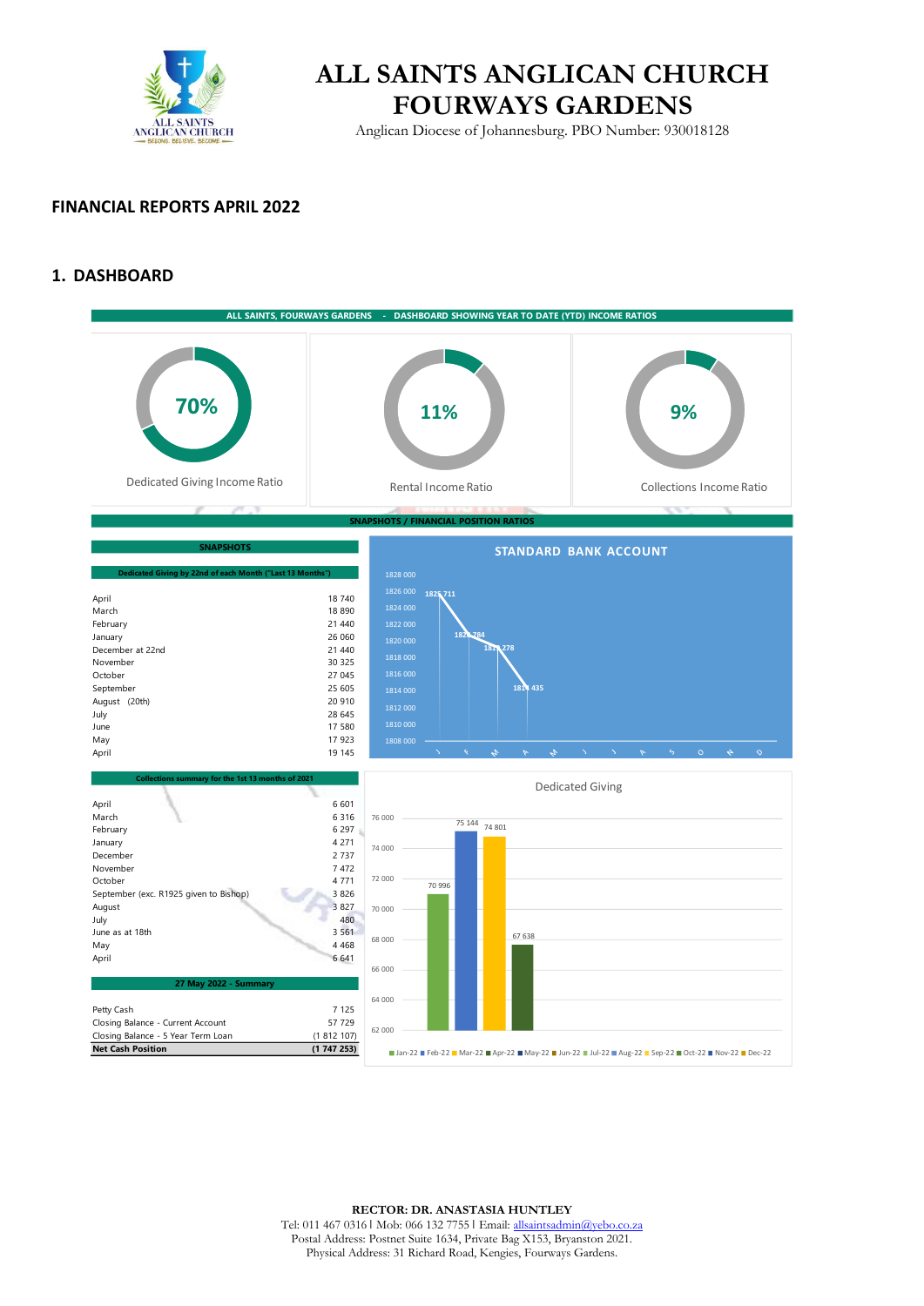

# **ALL SAINTS ANGLICAN CHURCH FOURWAYS GARDENS**

Anglican Diocese of Johannesburg. PBO Number: 930018128

#### **FINANCIAL REPORTS APRIL 2022**

#### **1. DASHBOARD**



**RECTOR: DR. ANASTASIA HUNTLEY**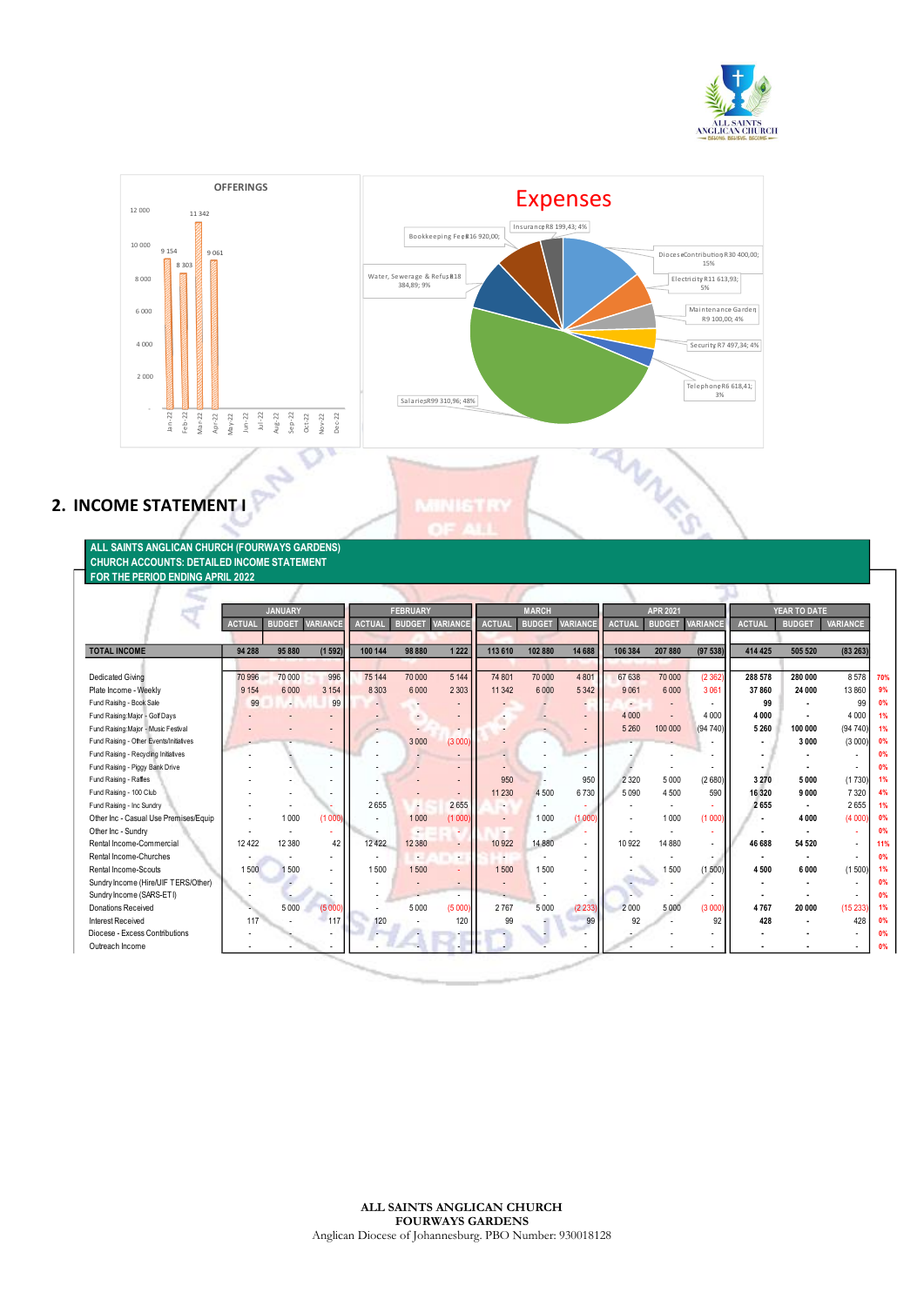



## **2. INCOME STATEMENT I**

**ALL SAINTS ANGLICAN CHURCH (FOURWAYS GARDENS) CHURCH ACCOUNTS: DETAILED INCOME STATEMENT FOR THE PERIOD ENDING APRIL 2022** 

|                                         | <b>JANUARY</b> |               |                 | <b>FEBRUARY</b> |               |                 | <b>MARCH</b>  |                          |                          | <b>APR 2021</b> |               |                 | YEAR TO DATE  |               |                          |     |
|-----------------------------------------|----------------|---------------|-----------------|-----------------|---------------|-----------------|---------------|--------------------------|--------------------------|-----------------|---------------|-----------------|---------------|---------------|--------------------------|-----|
|                                         |                |               |                 |                 |               |                 |               |                          |                          |                 |               |                 |               |               |                          |     |
|                                         | <b>ACTUAL</b>  | <b>BUDGET</b> | <b>VARIANCE</b> | <b>ACTUAL</b>   | <b>BUDGET</b> | <b>VARIANCE</b> | <b>ACTUAL</b> | <b>BUDGET</b>            | <b>VARIANCE</b>          | <b>ACTUAL</b>   | <b>BUDGET</b> | <b>VARIANCE</b> | <b>ACTUAL</b> | <b>BUDGET</b> | <b>VARIANCE</b>          |     |
| <b>TOTAL INCOME</b>                     | 94 288         | 95880         | (1592)          | 100 144         | 98 880        | 1 2 2 2         | 113 610       | 102 880                  | 14 688                   | 106 384         | 207 880       | (97538)         | 414 425       | 505 520       | (83263)                  |     |
| <b>Dedicated Giving</b>                 | 70 996         | 70 000        | 996             | 75 144          | 70 000        | 5 1 4 4         | 74 801        | 70 000                   | 4801                     | 67638           | 70 000        | (2362)          | 288 578       | 280 000       | 8578                     | 70% |
| Plate Income - Weekly                   | 9 1 5 4        | 6000          | 3 1 5 4         | 8 3 0 3         | 6000          | 2 3 0 3         | 11 342        | 6000                     | 5 3 4 2                  | 9061            | 6000          | 3061            | 37860         | 24 000        | 13860                    | 9%  |
| Fund Raising - Book Sale                | 99             | ×.            | 99              |                 |               |                 |               |                          |                          |                 |               |                 | 99            |               | 99                       | 0%  |
| Fund Raising: Major - Golf Days         |                |               |                 |                 |               |                 |               |                          | ۰                        | 4 0 0 0         |               | 4 0 0 0         | 4000          |               | 4 0 0 0                  | 1%  |
| Fund Raising: Major - Music Festival    |                |               |                 |                 |               |                 |               |                          | $\overline{\phantom{a}}$ | 5 2 6 0         | 100 000       | (94740)         | 5260          | 100 000       | (94740)                  | 1%  |
| Fund Raising - Other Events/Initiatives |                |               |                 |                 | 3 0 0 0       | (3000)          |               |                          |                          |                 |               |                 |               | 3000          | (3000)                   | 0%  |
| Fund Raising - Recycling Initiatives    |                |               |                 |                 |               |                 |               |                          |                          |                 |               |                 |               |               |                          | 0%  |
| Fund Raising - Piggy Bank Drive         |                |               |                 |                 |               |                 |               |                          |                          |                 |               |                 |               |               |                          | 0%  |
| Fund Raising - Raffles                  |                |               |                 |                 |               |                 | 950           |                          | 950                      | 2 3 2 0         | 5000          | (2680)          | 3 2 7 0       | 5000          | (1730)                   | 1%  |
| Fund Raising - 100 Club                 |                |               |                 |                 |               |                 | 11 2 30       | 4500                     | 6730                     | 5090            | 4500          | 590             | 16 3 20       | 9000          | 7320                     | 4%  |
| Fund Raising - Inc Sundry               |                |               |                 | 2655            |               | 2655            |               | $\overline{\phantom{a}}$ |                          |                 |               |                 | 2655          |               | 2655                     | 1%  |
| Other Inc - Casual Use Premises/Equip   |                | 1000          | (1000)          |                 | 1000          | (1000           |               | 1000                     | (1000)                   |                 | 1000          | (1000)          | ٠.            | 4000          | (4000)                   | 0%  |
| Other Inc - Sundry                      |                |               | ۰.              |                 | ٠.            |                 |               |                          | <b>.</b>                 |                 |               |                 |               |               |                          | 0%  |
| Rental Income-Commercial                | 12422          | 12 3 8 0      | 42              | 12422           | 12 3 8 0      | ٠               | 10922         | 14 8 8 0                 | $\overline{\phantom{a}}$ | 10 9 22         | 14 8 8 0      |                 | 46 688        | 54 520        | $\overline{\phantom{a}}$ | 11% |
| Rental Income-Churches                  |                |               |                 |                 | ٠             |                 |               |                          | ٠                        |                 |               |                 |               |               |                          | 0%  |
| Rental Income-Scouts                    | 1500           | 1500          |                 | 1500            | 1500          |                 | 1500          | 1500                     | ٠                        |                 | 1500          | (1500)          | 4500          | 6000          | (1500)                   | 1%  |
| Sundry Income (Hire/UIF TERS/Other)     |                |               |                 |                 |               |                 |               |                          | ٠                        |                 |               |                 |               |               |                          | 0%  |
| Sundry Income (SARS-ETI)                |                |               |                 |                 |               |                 |               |                          |                          |                 |               |                 |               |               |                          | 0%  |
| <b>Donations Received</b>               |                | 5000          | (5000)          |                 | 5000          | (5000)          | 2767          | 5 0 0 0                  | (2233)                   | 2000            | 5 0 0 0       | (3000)          | 4767          | 20 000        | (15233)                  | 1%  |
| <b>Interest Received</b>                | 117            |               | 117             | 120             |               | 120             | 99            |                          | 99                       | 92              |               | 92              | 428           |               | 428                      | 0%  |
| Diocese - Excess Contributions          |                |               |                 |                 |               |                 |               |                          |                          |                 |               |                 |               |               |                          | 0%  |
| Outreach Income                         |                |               |                 |                 |               |                 |               |                          |                          |                 |               |                 |               |               | ۰.                       | 0%  |
|                                         |                |               |                 |                 |               |                 |               |                          |                          |                 |               |                 |               |               |                          |     |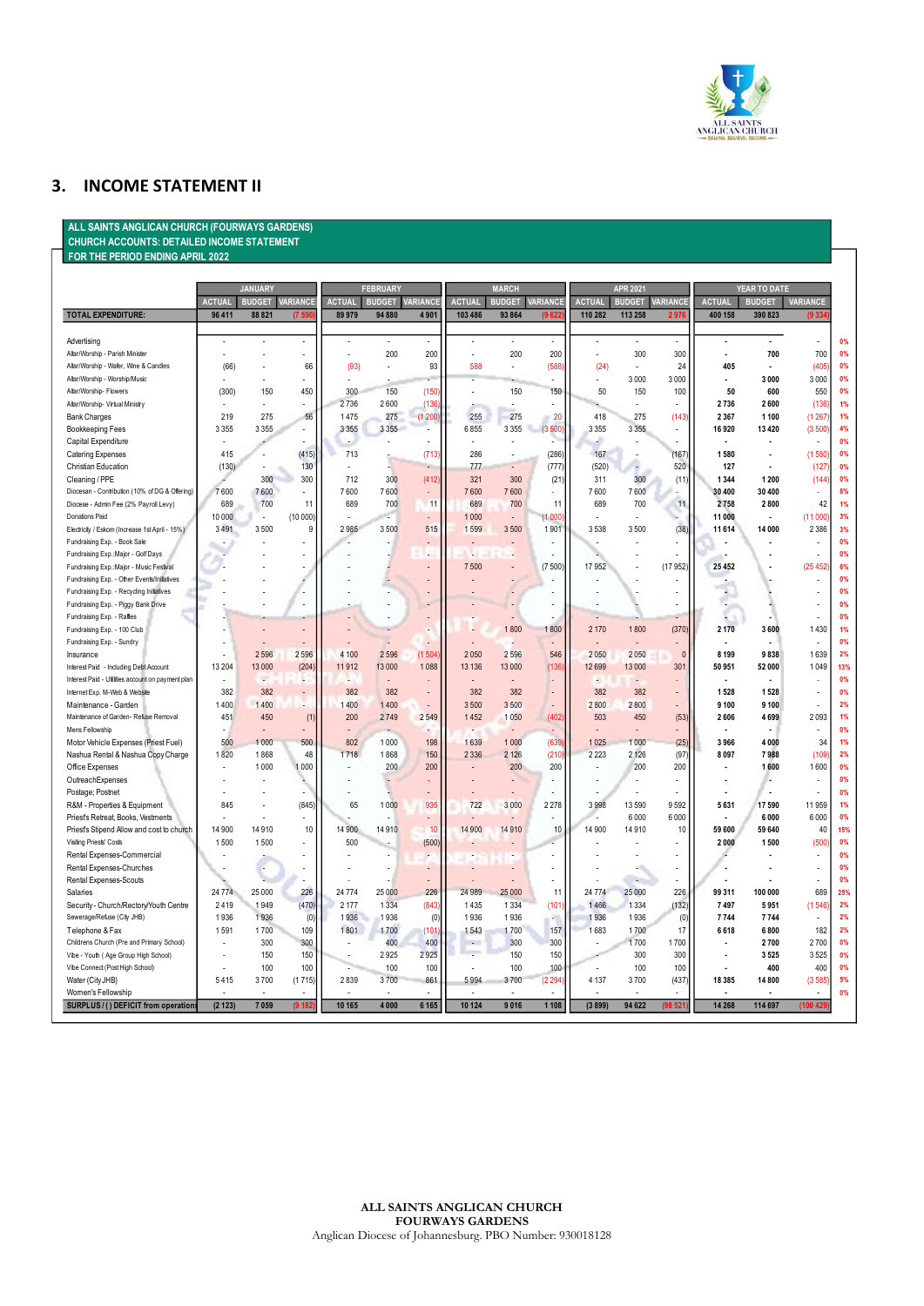

### **3. INCOME STATEMENT II**

**ALL SAINTS ANGLICAN CHURCH (FOURWAYS GARDENS) CHURCH ACCOUNTS: DETAILED INCOME STATEMENT FOR THE PERIOD ENDING APRIL 2022**

|                                                        |                          | <b>JANUARY</b>           |                |                          | <b>FEBRUARY</b> |          |                | <b>MARCH</b>                 |                          |               | <b>APR 2021</b> |                          |               | YEAR TO DATE  |                 |     |
|--------------------------------------------------------|--------------------------|--------------------------|----------------|--------------------------|-----------------|----------|----------------|------------------------------|--------------------------|---------------|-----------------|--------------------------|---------------|---------------|-----------------|-----|
|                                                        | <b>ACTUAL</b>            | <b>BUDGET</b>            | VARIANCE       | <b>ACTUAL</b>            | <b>BUDGET</b>   | VARIANCE | <b>ACTUAL</b>  | <b>BUDGET</b>                | <b>VARIANCE</b>          | <b>ACTUAL</b> | <b>BUDGET</b>   | VARIANCE                 | <b>ACTUAL</b> | <b>BUDGET</b> | <b>VARIANCE</b> |     |
| <b>TOTAL EXPENDITURE:</b>                              | 96 411                   | 88821                    | (759)          | 89 979                   | 94 880          | 4901     | 103 486        | 93 864                       | (9622)                   | 110 282       | 113 258         | 2976                     | 400 158       | 390 823       | (9 3 3 4        |     |
|                                                        |                          |                          |                |                          |                 |          |                |                              |                          |               |                 |                          |               |               |                 |     |
| Advertising                                            | J.                       |                          | $\overline{a}$ | Ĭ.                       | ä,              | ä,       |                | ÷.                           | $\overline{\phantom{a}}$ |               | $\overline{a}$  | $\overline{\phantom{a}}$ | ÷.            |               |                 | 0%  |
| Altar/Worship - Parish Minister                        |                          |                          | ä,             |                          | 200             | 200      | L.             | 200                          | 200                      |               | 300             | 300                      |               | 700           | 700             | 0%  |
| Altar/Worship - Wafer, Wine & Candles                  | (66)                     |                          | 66             | (93)                     | $\overline{a}$  | 93       | 588            | $\overline{a}$               | (588)                    | (24)          |                 | 24                       | 405           |               | (405)           | 0%  |
| Altar/Worship - Worship/Music                          |                          |                          |                |                          |                 |          |                |                              |                          |               | 3000            | 3000                     |               | 3000          | 3 0 0 0         | 0%  |
| Altar/Worship-Flowers                                  | (300)                    | 150                      | 450            | 300                      | 150             | (150)    | L.             | 150                          | 150                      | 50            | 150             | 100                      | 50            | 600           | 550             | 0%  |
| Altar/Worship- Virtual Ministry                        |                          |                          |                | 2736                     | 2600            | (136)    |                |                              |                          |               |                 |                          | 2736          | 2600          | (136)           | 1%  |
| <b>Bank Charges</b>                                    | 219                      | 275                      | 56             | 1475                     | 275             | (1200)   | 255            | 275                          | 20                       | 418           | 275             | (143)                    | 2 3 6 7       | 1100          | (1267)          | 1%  |
| <b>Bookkeeping Fees</b>                                | 3 3 5 5                  | 3 3 5 5                  |                | 3 3 5 5                  | 3 3 5 5         |          | 6855           | 3355                         | (3500)                   | 3 3 5 5       | 3 3 5 5         |                          | 16920         | 13 4 20       | (3500)          | 4%  |
| Capital Expenditure                                    |                          |                          |                | $\overline{\phantom{a}}$ |                 |          |                |                              |                          | ٠             |                 |                          |               |               |                 | 0%  |
| Catering Expenses                                      | 415                      |                          | (415)          | 713                      |                 | (713)    | 286            | $\qquad \qquad \blacksquare$ | (286)                    | 167           |                 | (167)                    | 1580          |               | (1580           | 0%  |
| Christian Education                                    | (130)                    |                          | 130            |                          |                 |          | 777            |                              | (777)                    | (520)         |                 | 520                      | 127           |               | (127)           | 0%  |
| Cleaning / PPE                                         |                          | 300                      | 300            | 712                      | 300             | (412)    | 321            | 300                          | (21)                     | 311           | 300             | (11)                     | 1 3 4 4       | 1 2 0 0       | (144)           | 0%  |
| Diocesan - Contribution (10% of DG & Offering)         | 7600                     | 7600                     |                | 7600                     | 7600            |          | 7600           | 7600                         |                          | 7600          | 7600            |                          | 30 400        | 30 400        |                 | 8%  |
| Diocese - Admin Fee (2% Payroll Levy)                  | 689                      | 700                      | 11             | 689                      | 700             | 11       | 689            | 700                          | 11                       | 689           | 700             | 11                       | 2758          | 2800          | 42              | 1%  |
| Donations Paid                                         | 10 000                   | ÷,                       | (10000)        |                          |                 |          | 1000           |                              | (1000                    |               |                 |                          | 11 000        |               | (11000)         | 3%  |
| Electricity / Eskom (Increase 1st April - 15%)         | 3491                     | 3500                     | 9              | 2985                     | 3500            | 515      | 1599           | 3500                         | 1901                     | 3538          | 3500            | (38)                     | 11 614        | 14 000        | 2 3 8 6         | 3%  |
| Fundraising Exp. - Book Sale                           |                          |                          |                |                          |                 |          |                |                              |                          |               |                 |                          |               |               |                 | 0%  |
| Fundraising Exp.: Major - Golf Days                    |                          |                          |                |                          |                 | J.       | ч              |                              |                          |               |                 |                          |               |               |                 | 0%  |
| Fundraising Exp.: Major - Music Festival               |                          |                          |                |                          |                 |          | 7500           |                              | (7500                    | 17952         |                 | (17952                   | 25 4 52       |               | (25452)         | 6%  |
| Fundraising Exp. - Other Events/Initiatives            |                          |                          |                |                          |                 |          |                |                              |                          |               |                 |                          |               |               |                 | 0%  |
| Fundraising Exp. - Recycling Initiatives               |                          |                          |                |                          |                 |          |                |                              |                          |               |                 |                          |               |               |                 | 0%  |
| Fundraising Exp. - Piggy Bank Drive                    |                          |                          |                |                          |                 |          |                |                              |                          |               |                 |                          | L,            |               |                 | 0%  |
| Fundraising Exp. - Raffles                             |                          |                          |                |                          |                 |          |                |                              |                          |               |                 |                          |               |               |                 | 0%  |
| Fundraising Exp. - 100 Club                            |                          |                          |                |                          |                 |          |                | 1800                         | 1800                     | 2 1 7 0       | 1800            | (370)                    | 2 1 7 0       | 3600          | 1430            | 1%  |
| Fundraising Exp. - Sundry                              |                          |                          |                |                          |                 |          |                |                              |                          |               |                 |                          |               |               |                 | 0%  |
| Insurance                                              |                          | 2596                     | 2596           | 4 100                    | 2596            | (1504)   | 2050           | 2596                         | 546                      | 2050          | 2050            | $\mathbf{0}$             | 8 1 9 9       | 9838          | 1639            | 2%  |
| Interest Paid - Including Debt Account                 | 13 204                   | 13 000                   | (204)          | 11912                    | 13 000          | 1088     | 13 136         | 13 000                       | (136)                    | 12699         | 13 000          | 301                      | 50951         | 52 000        | 1049            | 13% |
| Interest Paid - Utilities account on payment plan      |                          | $\overline{\phantom{a}}$ |                | L.                       |                 |          |                |                              |                          |               |                 |                          |               |               |                 | 0%  |
| Internet Exp. M-Web & Website                          | 382                      | 382                      |                | 382                      | 382             |          | 382            | 382                          |                          | 382           | 382             |                          | 1528          | 1528          |                 | 0%  |
| Maintenance - Garden                                   | 1400                     | 1400                     |                | 1400                     | 1400            |          | 3500           | 3500                         | $\overline{a}$           | 2800          | 2800            |                          | 9 100         | 9 1 0 0       |                 | 2%  |
| Maintenance of Garden- Refuse Removal                  | 451                      | 450                      | (1)            | 200                      | 2749            | 2549     | 1452           | 1050                         | (402)                    | 503           | 450             | (53)                     | 2606          | 4699          | 2093            | 1%  |
| Mens Fellowship                                        |                          |                          |                |                          |                 |          |                |                              |                          |               |                 |                          |               |               | ä,              | 0%  |
| Motor Vehicle Expenses (Priest Fuel)                   | 500                      | 1000                     | 500            | 802                      | 1000            | 198      | 1639           | 1000                         | (639)                    | 1025          | 1000            | (25)                     | 3966          | 4000          | 34              | 1%  |
| Nashua Rental & Nashua Copy Charge                     | 1820                     | 1868                     | 48             | 1718                     | 1868            | 150      | 2 3 3 6        | 2 1 2 6                      | (210                     | 2 2 2 3       | 2 1 2 6         | (97)                     | 8097          | 7988          | (109)           | 2%  |
| Office Expenses                                        | ä,                       | 1 0 0 0                  | 1000           |                          | 200             | 200      |                | 200                          | 200                      |               | 200             | 200                      |               | 1600          | 1600            | 0%  |
| OutreachExpenses                                       |                          |                          |                |                          |                 |          |                | $\overline{a}$               |                          |               |                 |                          |               |               |                 | 0%  |
| Postage; Postnet                                       |                          |                          |                |                          |                 |          |                |                              |                          |               |                 |                          |               |               |                 | 0%  |
| R&M - Properties & Equipment                           | 845                      |                          | (845)          | 65                       | 1000            | 935      | 722            | 3000                         | 2278                     | 3998          | 13 590          | 9592                     | 5631          | 17590         | 11959           | 1%  |
| Priest's Retreat, Books, Vestments                     |                          |                          |                |                          |                 | ÷        |                |                              |                          |               | 6000            | 6000                     |               | 6000          | 6000            | 0%  |
| Priest's Stipend Allow and cost to church              | 14 900                   | 14 9 10                  | 10             | 14 900                   | 14910           | 10       | 14 900         | 14910                        | 10                       | 14 900        | 14 910          | 10                       | 59 600        | 59 640        | 40              | 15% |
| Visiting Priests' Costs                                | 1500                     | 1500                     |                | 500                      |                 | (500)    |                |                              |                          |               |                 |                          | 2000          | 1500          | (500)           | 0%  |
|                                                        |                          |                          |                |                          |                 |          |                |                              | $\overline{a}$           |               |                 |                          |               |               |                 | 0%  |
| Rental Expenses-Commercial<br>Rental Expenses-Churches |                          |                          |                |                          |                 |          |                |                              |                          |               |                 |                          |               |               |                 | 0%  |
|                                                        |                          |                          |                |                          |                 |          |                |                              |                          |               | ٠               |                          |               |               |                 | 0%  |
| Rental Expenses-Scouts                                 |                          |                          |                |                          |                 |          |                |                              |                          |               |                 |                          |               |               |                 |     |
| Salaries                                               | 24 7 7 4                 | 25 000                   | 226            | 24 774                   | 25 000          | 226      | 24 989         | 25 000                       | 11                       | 24 7 7 4      | 25 000          | 226                      | 99 311        | 100 000       | 689             | 25% |
| Security - Church/Rectory/Youth Centre                 | 2419                     | 1949                     | (470)          | 2 177                    | 1 3 3 4         | (843)    | 1435           | 1334                         | (101)                    | 1466          | 1 3 3 4         | (132)                    | 7497          | 5951          | (1546)          | 2%  |
| Sewerage/Refuse (City JHB)                             | 1936                     | 1936                     | (0)            | 1936                     | 1936            | (0)      | 1936           | 1936                         |                          | 1936          | 1936            | (0)                      | 7744          | 7744          | $\overline{a}$  | 2%  |
| Telephone & Fax                                        | 1591                     | 1700                     | 109            | 1801                     | 1700            | (101)    | 1543           | 1700                         | 157                      | 1683          | 1700            | 17                       | 6618          | 6800          | 182             | 2%  |
| Childrens Church (Pre and Primary School)              | J.                       | 300                      | 300            |                          | 400             | 400      | $\overline{a}$ | 300                          | 300                      |               | 1700            | 1700                     |               | 2700          | 2700            | 0%  |
| Vibe - Youth ( Age Group High School)                  | $\overline{\phantom{a}}$ | 150                      | 150            |                          | 2925            | 2925     |                | 150                          | 150                      |               | 300             | 300                      | ÷             | 3525          | 3525            | 0%  |
| Vibe Connect (Post High School)                        |                          | 100                      | 100            |                          | 100             | 100      |                | 100                          | 100                      |               | 100             | 100                      |               | 400           | 400             | 0%  |
| Water (City JHB)                                       | 5415                     | 3700                     | (1715)         | 2839                     | 3700            | 861      | 5994           | 3700                         | (2294)                   | 4 1 3 7       | 3700            | (437)                    | 18 3 8 5      | 14 800        | (3585)          | 5%  |
| Women's Fellowship                                     |                          |                          |                |                          |                 |          |                |                              |                          |               |                 |                          |               |               |                 | 0%  |
| SURPLUS / ( ) DEFICIT from operation                   | (2 123)                  | 7059                     | (9182)         | 10 165                   | 4 0 0 0         | 6 1 6 5  | 10 124         | 9016                         | 1 1 0 8                  | (3899)        | 94 622          | (98 52                   | 14 2 68       | 114 697       | (100 429        |     |